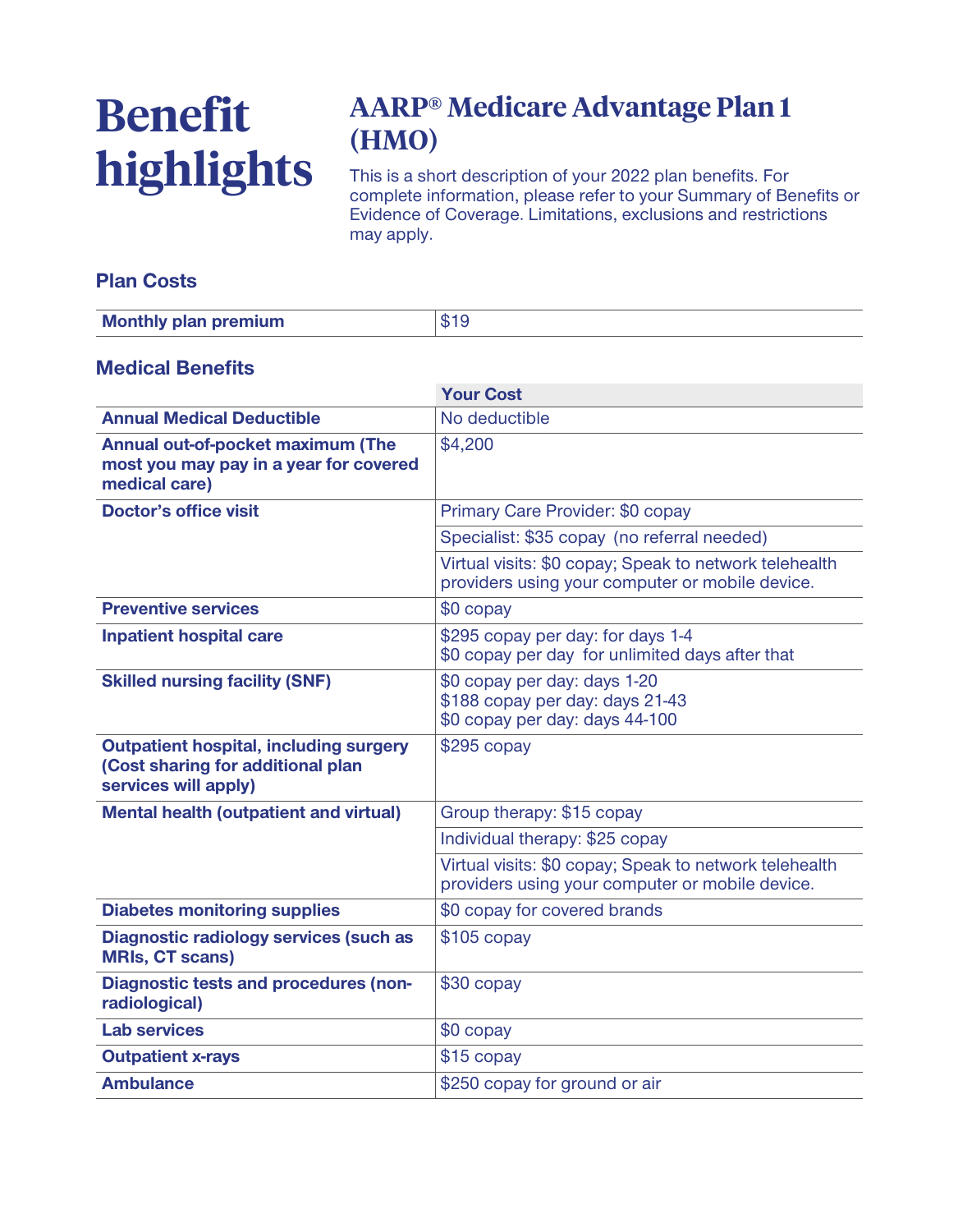# **Benefit highlights**

# **AARP® Medicare Advantage Plan 1 (HMO)**

**This is a short description of your 2022 plan benefits. For complete information, please refer to your Summary of Benefits or Evidence of Coverage. Limitations, exclusions and restrictions may apply.**

#### **Plan Costs**

| <b>Monthly plan premium</b> |  |
|-----------------------------|--|

#### **Medical Benefits**

|                                                                                                            | <b>Your Cost</b>                                                                                          |  |
|------------------------------------------------------------------------------------------------------------|-----------------------------------------------------------------------------------------------------------|--|
| <b>Annual Medical Deductible</b>                                                                           | No deductible                                                                                             |  |
| Annual out-of-pocket maximum (The<br>most you may pay in a year for covered<br>medical care)               | \$4,200                                                                                                   |  |
| <b>Doctor's office visit</b>                                                                               | Primary Care Provider: \$0 copay                                                                          |  |
|                                                                                                            | Specialist: \$35 copay (no referral needed)                                                               |  |
|                                                                                                            | Virtual visits: \$0 copay; Speak to network telehealth<br>providers using your computer or mobile device. |  |
| <b>Preventive services</b>                                                                                 | \$0 copay                                                                                                 |  |
| <b>Inpatient hospital care</b>                                                                             | \$295 copay per day: for days 1-4<br>\$0 copay per day for unlimited days after that                      |  |
| <b>Skilled nursing facility (SNF)</b>                                                                      | \$0 copay per day: days 1-20<br>\$188 copay per day: days 21-43<br>\$0 copay per day: days 44-100         |  |
| <b>Outpatient hospital, including surgery</b><br>(Cost sharing for additional plan<br>services will apply) | $$295$ copay                                                                                              |  |
| <b>Mental health (outpatient and virtual)</b>                                                              | Group therapy: \$15 copay                                                                                 |  |
|                                                                                                            | Individual therapy: \$25 copay                                                                            |  |
|                                                                                                            | Virtual visits: \$0 copay; Speak to network telehealth<br>providers using your computer or mobile device. |  |
| <b>Diabetes monitoring supplies</b>                                                                        | \$0 copay for covered brands                                                                              |  |
| <b>Diagnostic radiology services (such as</b><br><b>MRIs, CT scans)</b>                                    | $$105$ copay                                                                                              |  |
| <b>Diagnostic tests and procedures (non-</b><br>radiological)                                              | \$30 copay                                                                                                |  |
| <b>Lab services</b>                                                                                        | \$0 copay                                                                                                 |  |
| <b>Outpatient x-rays</b>                                                                                   | \$15 copay                                                                                                |  |
| <b>Ambulance</b>                                                                                           | \$250 copay for ground or air                                                                             |  |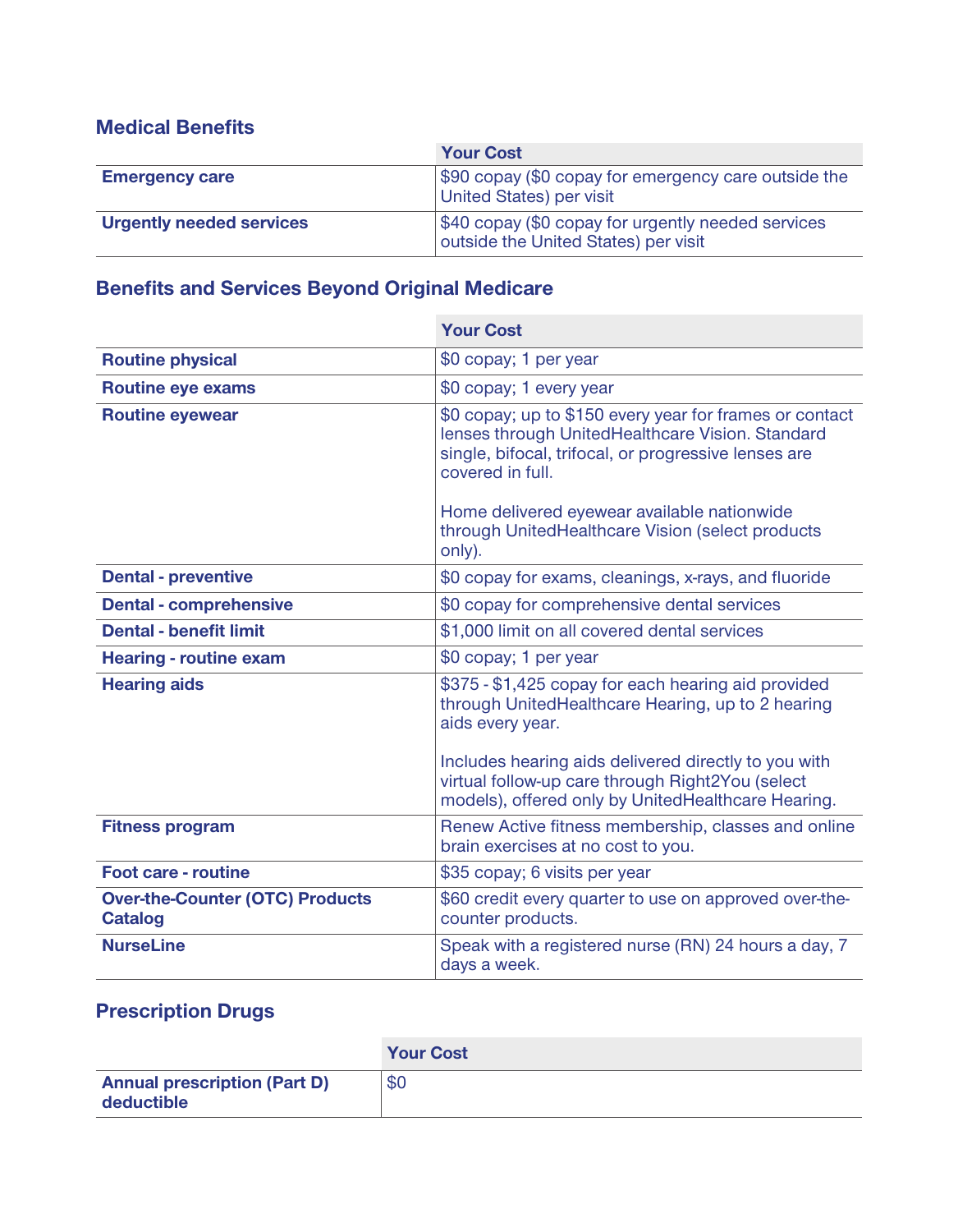#### **Medical Benefits**

|                                 | <b>Your Cost</b>                                                                           |  |
|---------------------------------|--------------------------------------------------------------------------------------------|--|
| <b>Emergency care</b>           | \$90 copay (\$0 copay for emergency care outside the<br>United States) per visit           |  |
| <b>Urgently needed services</b> | \$40 copay (\$0 copay for urgently needed services<br>outside the United States) per visit |  |

### **Benefits and Services Beyond Original Medicare**

|                                                          | <b>Your Cost</b>                                                                                                                                                                                                                                                                           |  |
|----------------------------------------------------------|--------------------------------------------------------------------------------------------------------------------------------------------------------------------------------------------------------------------------------------------------------------------------------------------|--|
| <b>Routine physical</b>                                  | \$0 copay; 1 per year                                                                                                                                                                                                                                                                      |  |
| <b>Routine eye exams</b>                                 | \$0 copay; 1 every year                                                                                                                                                                                                                                                                    |  |
| <b>Routine eyewear</b>                                   | \$0 copay; up to \$150 every year for frames or contact<br>lenses through UnitedHealthcare Vision. Standard<br>single, bifocal, trifocal, or progressive lenses are<br>covered in full.<br>Home delivered eyewear available nationwide<br>through UnitedHealthcare Vision (select products |  |
|                                                          | only).                                                                                                                                                                                                                                                                                     |  |
| <b>Dental - preventive</b>                               | \$0 copay for exams, cleanings, x-rays, and fluoride                                                                                                                                                                                                                                       |  |
| <b>Dental - comprehensive</b>                            | \$0 copay for comprehensive dental services                                                                                                                                                                                                                                                |  |
| <b>Dental - benefit limit</b>                            | \$1,000 limit on all covered dental services                                                                                                                                                                                                                                               |  |
| <b>Hearing - routine exam</b>                            | \$0 copay; 1 per year                                                                                                                                                                                                                                                                      |  |
| <b>Hearing aids</b>                                      | \$375 - \$1,425 copay for each hearing aid provided<br>through UnitedHealthcare Hearing, up to 2 hearing<br>aids every year.                                                                                                                                                               |  |
|                                                          | Includes hearing aids delivered directly to you with<br>virtual follow-up care through Right2You (select<br>models), offered only by UnitedHealthcare Hearing.                                                                                                                             |  |
| <b>Fitness program</b>                                   | Renew Active fitness membership, classes and online<br>brain exercises at no cost to you.                                                                                                                                                                                                  |  |
| <b>Foot care - routine</b>                               | \$35 copay; 6 visits per year                                                                                                                                                                                                                                                              |  |
| <b>Over-the-Counter (OTC) Products</b><br><b>Catalog</b> | \$60 credit every quarter to use on approved over-the-<br>counter products.                                                                                                                                                                                                                |  |
| <b>NurseLine</b>                                         | Speak with a registered nurse (RN) 24 hours a day, 7<br>days a week.                                                                                                                                                                                                                       |  |

## **Prescription Drugs**

|                                                   | <b>Your Cost</b> |
|---------------------------------------------------|------------------|
| <b>Annual prescription (Part D)</b><br>deductible | \$0              |